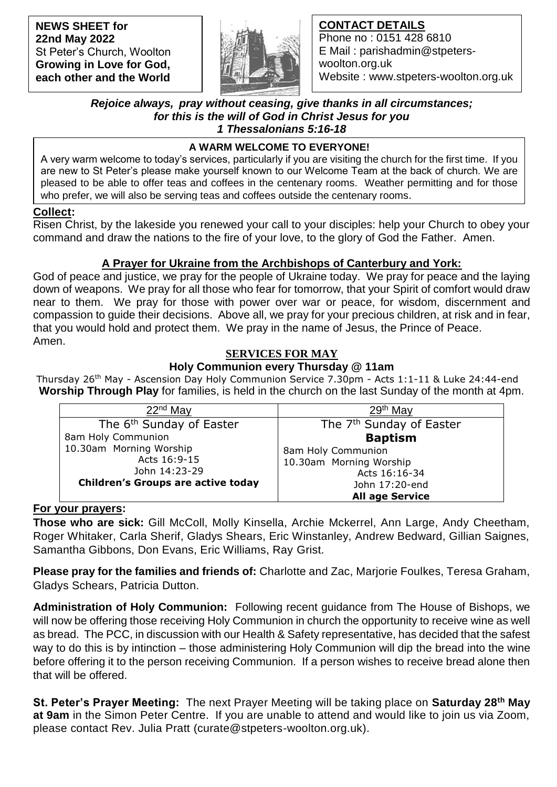**NEWS SHEET for 22nd May 2022** St Peter's Church, Woolton **Growing in Love for God, each other and the World**



## **CONTACT DETAILS**

Phone no : 0151 428 6810 E Mail : parishadmin@stpeterswoolton.org.uk Website : www.stpeters-woolton.org.uk

#### *Rejoice always, pray without ceasing, give thanks in all circumstances; for this is the will of God in Christ Jesus for you 1 Thessalonians 5:16-18*

## **A WARM WELCOME TO EVERYONE!**

 who prefer, we will also be serving teas and coffees outside the centenary rooms. A very warm welcome to today's services, particularly if you are visiting the church for the first time. If you are new to St Peter's please make yourself known to our Welcome Team at the back of church. We are pleased to be able to offer teas and coffees in the centenary rooms. Weather permitting and for those

#### **Collect:**

Risen Christ, by the lakeside you renewed your call to your disciples: help your Church to obey your command and draw the nations to the fire of your love, to the glory of God the Father. Amen.

# **A Prayer for Ukraine from the Archbishops of Canterbury and York:**

God of peace and justice, we pray for the people of Ukraine today. We pray for peace and the laying down of weapons. We pray for all those who fear for tomorrow, that your Spirit of comfort would draw near to them. We pray for those with power over war or peace, for wisdom, discernment and compassion to guide their decisions. Above all, we pray for your precious children, at risk and in fear, that you would hold and protect them. We pray in the name of Jesus, the Prince of Peace. Amen.

# **SERVICES FOR MAY**

## **Holy Communion every Thursday @ 11am**

Thursday 26<sup>th</sup> May - Ascension Day Holy Communion Service 7.30pm - Acts 1:1-11 & Luke 24:44-end **Worship Through Play** for families, is held in the church on the last Sunday of the month at 4pm.

| 22 <sup>nd</sup> May                      | $29th$ Mav                           |
|-------------------------------------------|--------------------------------------|
| The 6 <sup>th</sup> Sunday of Easter      | The 7 <sup>th</sup> Sunday of Easter |
| 8am Holy Communion                        | <b>Baptism</b>                       |
| 10.30am Morning Worship                   | 8am Holy Communion                   |
| Acts 16:9-15                              | 10.30am Morning Worship              |
| John 14:23-29                             | Acts 16:16-34                        |
| <b>Children's Groups are active today</b> | John 17:20-end                       |
|                                           | <b>All age Service</b>               |

## **For your prayers:**

**Those who are sick:** Gill McColl, Molly Kinsella, Archie Mckerrel, Ann Large, Andy Cheetham, Roger Whitaker, Carla Sherif, Gladys Shears, Eric Winstanley, Andrew Bedward, Gillian Saignes, Samantha Gibbons, Don Evans, Eric Williams, Ray Grist.

**Please pray for the families and friends of:** Charlotte and Zac, Marjorie Foulkes, Teresa Graham, Gladys Schears, Patricia Dutton.

**Administration of Holy Communion:** Following recent guidance from The House of Bishops, we will now be offering those receiving Holy Communion in church the opportunity to receive wine as well as bread. The PCC, in discussion with our Health & Safety representative, has decided that the safest way to do this is by intinction – those administering Holy Communion will dip the bread into the wine before offering it to the person receiving Communion. If a person wishes to receive bread alone then that will be offered.

**St. Peter's Prayer Meeting:** The next Prayer Meeting will be taking place on **Saturday 28th May at 9am** in the Simon Peter Centre. If you are unable to attend and would like to join us via Zoom, please contact Rev. Julia Pratt (curate@stpeters-woolton.org.uk).